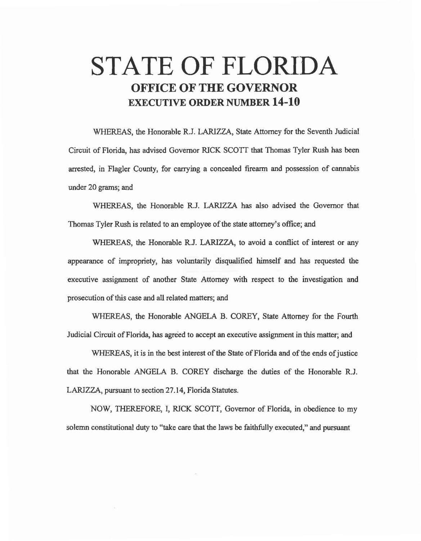## **STATE OF FLORIDA OFFICE OF THE GOVERNOR EXECUTIVE ORDER NUMBER 14-10**

WHEREAS, the Honorable R.J. LARIZZA, State Attorney for the Seventh Judicial Circuit of Florida, has advised Governor RICK SCO'IT that Thomas Tyler Rush has been arrested, in Flagler County, for carrying a concealed firearm and possession of cannabis under 20 grams; and

WHEREAS, the Honorable R.J. LARIZZA has also advised the Governor that Thomas Tyler Rush is related to an employee of the state attorney's office; and

WHEREAS, the Honorable R.J. LARIZZA, to avoid a conflict of interest or any appearance of impropriety, has voluntarily disqualified himself and has requested the executive assignment of another State Attorney with respect to the investigation and prosecution of this case and all related matters; and

WHEREAS, the Honorable ANGELA B. COREY, State Attorney for the Fourth Judicial Circuit ofFlorida, has agreed to accept an executive assignment in this matter; and

WHEREAS, it is in the best interest of the State of Florida and of the ends of justice that the Honorable ANGELA B. COREY discharge the duties of the Honorable R.J. LARJZZA, pursuant to section 27 .14, Florida Statutes.

NOW, THEREFORE, I, RICK SCOTT, Governor of Florida, in obedience to my solemn constitutional duty to "take care that the laws be faithfully executed," and pursuant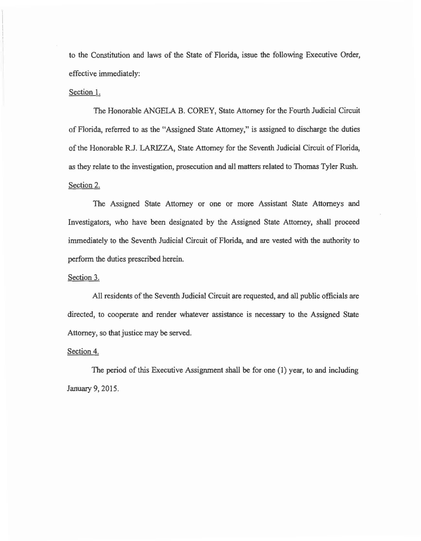to the Constitution and laws of the State of Florida, issue the following Executive Order, effective immediately:

## Section 1.

The Honorable ANGELA B. COREY, State Attorney for the Fourth Judicial Circuit of Florida, referred to *as* the "Assigned State Attorney," is assigned to discharge the duties of the Honorable R.J. LARIZZA, State Attorney for the Seventh Judicial Circuit of Florida, *as* they relate to the investigation, prosecution and all matters related to Thomas Tyler Rush. Section 2.

The Assigned State Attorney or one or more Assistant State Attorneys and Investigators, who have been designated by the Assigned State Attorney, shall proceed immediately to the Seventh Judicial Circuit of Florida, and are vested with the authority to perform the duties prescribed herein.

## Section 3.

All residents of the Seventh Judicial Circuit are requested, and all public officials are directed, to cooperate and render whatever assistance is necessary to the Assigned State Attorney, so that justice may be served.

## Section 4.

The period of this Executive Assignment shall be for one (1) year, to and including January 9, 2015.